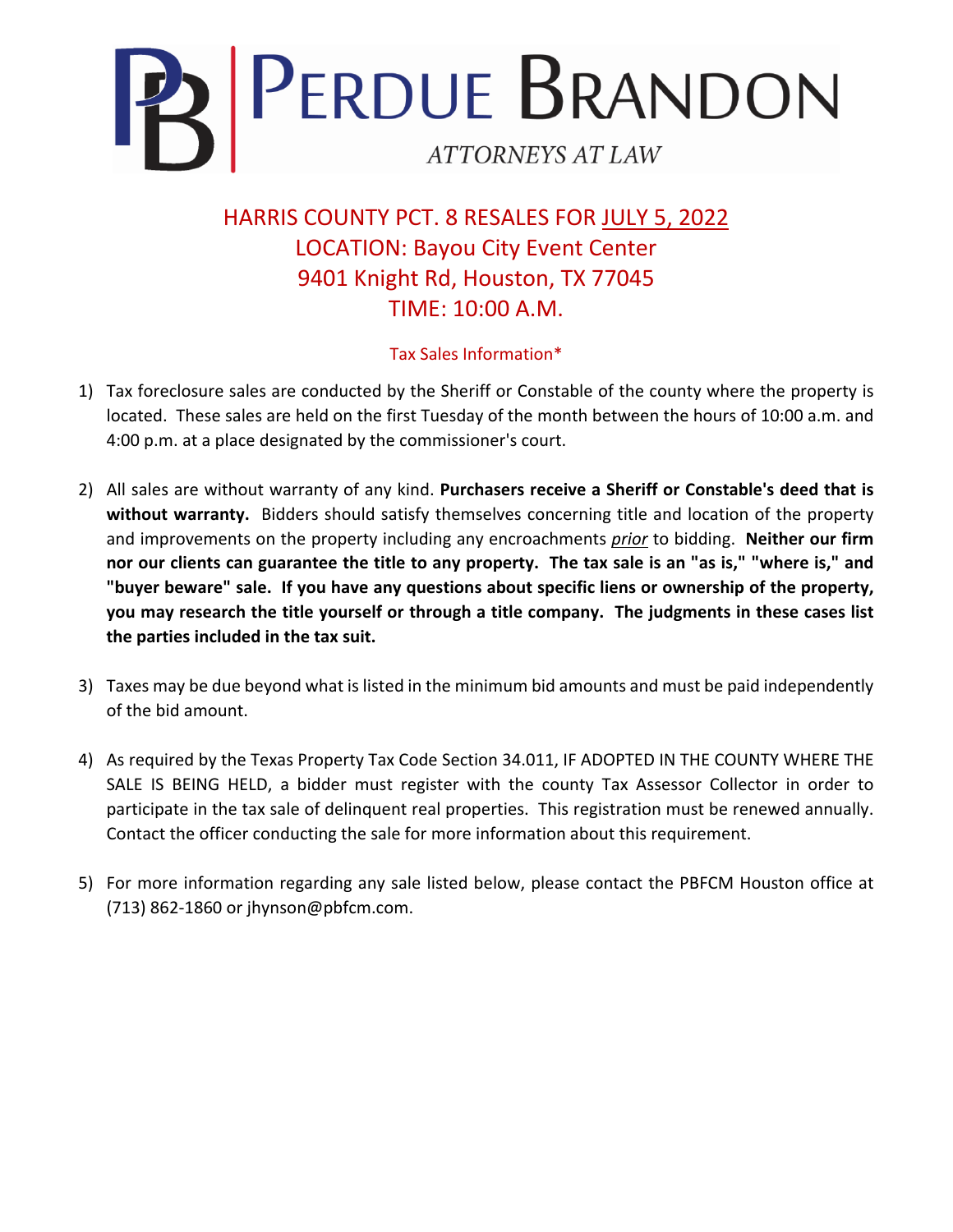

HARRIS COUNTY PCT. 8 RESALES FOR JULY 5, 2022 LOCATION: Bayou City Event Center 9401 Knight Rd, Houston, TX 77045 TIME: 10:00 A.M.

## Tax Sales Information\*

- 1) Tax foreclosure sales are conducted by the Sheriff or Constable of the county where the property is located. These sales are held on the first Tuesday of the month between the hours of 10:00 a.m. and 4:00 p.m. at a place designated by the commissioner's court.
- 2) All sales are without warranty of any kind. **Purchasers receive a Sheriff or Constable's deed that is without warranty.** Bidders should satisfy themselves concerning title and location of the property and improvements on the property including any encroachments *prior* to bidding. **Neither our firm nor our clients can guarantee the title to any property. The tax sale is an "as is," "where is," and "buyer beware" sale. If you have any questions about specific liens or ownership of the property, you may research the title yourself or through a title company. The judgments in these cases list the parties included in the tax suit.**
- 3) Taxes may be due beyond what is listed in the minimum bid amounts and must be paid independently of the bid amount.
- 4) As required by the Texas Property Tax Code Section 34.011, IF ADOPTED IN THE COUNTY WHERE THE SALE IS BEING HELD, a bidder must register with the county Tax Assessor Collector in order to participate in the tax sale of delinquent real properties. This registration must be renewed annually. Contact the officer conducting the sale for more information about this requirement.
- 5) For more information regarding any sale listed below, please contact the PBFCM Houston office at (713) 862-1860 or jhynson@pbfcm.com.